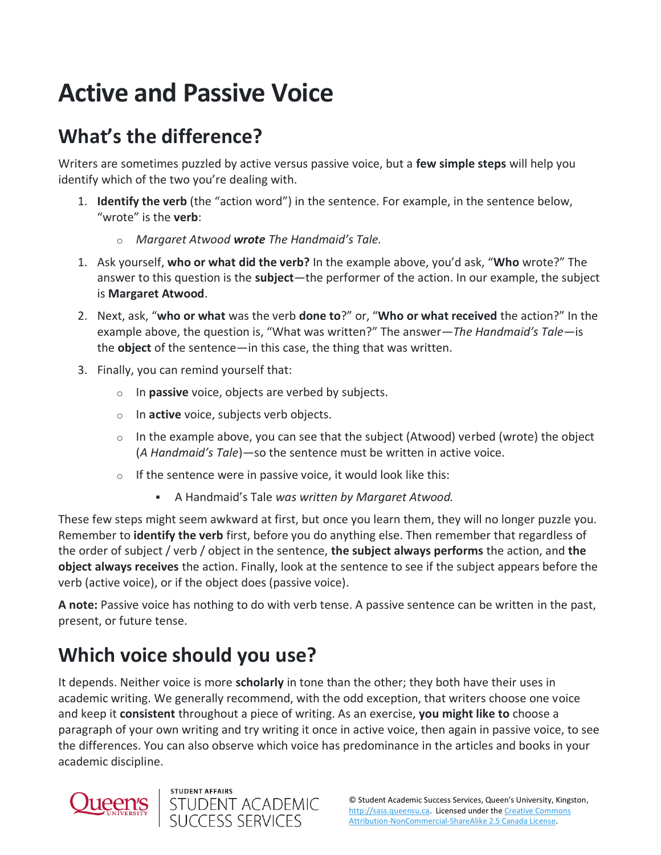## **Active and Passive Voice**

## **What's the difference?**

Writers are sometimes puzzled by active versus passive voice, but a **few simple steps** will help you identify which of the two you're dealing with.

- 1. **Identify the verb** (the "action word") in the sentence. For example, in the sentence below, "wrote" is the **verb**:
	- o *Margaret Atwood wrote The Handmaid's Tale.*
- 1. Ask yourself, **who or what did the verb?** In the example above, you'd ask, "**Who** wrote?" The answer to this question is the **subject**—the performer of the action. In our example, the subject is **Margaret Atwood**.
- 2. Next, ask, "**who or what** was the verb **done to**?" or, "**Who or what received** the action?" In the example above, the question is, "What was written?" The answer—*The Handmaid's Tale*—is the **object** of the sentence—in this case, the thing that was written.
- 3. Finally, you can remind yourself that:
	- o In **passive** voice, objects are verbed by subjects.
	- o In **active** voice, subjects verb objects.
	- $\circ$  In the example above, you can see that the subject (Atwood) verbed (wrote) the object (*A Handmaid's Tale*)—so the sentence must be written in active voice.
	- $\circ$  If the sentence were in passive voice, it would look like this:
		- A Handmaid's Tale *was written by Margaret Atwood.*

These few steps might seem awkward at first, but once you learn them, they will no longer puzzle you. Remember to **identify the verb** first, before you do anything else. Then remember that regardless of the order of subject / verb / object in the sentence, **the subject always performs** the action, and **the object always receives** the action. Finally, look at the sentence to see if the subject appears before the verb (active voice), or if the object does (passive voice).

**A note:** Passive voice has nothing to do with verb tense. A passive sentence can be written in the past, present, or future tense.

## **Which voice should you use?**

It depends. Neither voice is more **scholarly** in tone than the other; they both have their uses in academic writing. We generally recommend, with the odd exception, that writers choose one voice and keep it **consistent** throughout a piece of writing. As an exercise, **you might like to** choose a paragraph of your own writing and try writing it once in active voice, then again in passive voice, to see the differences. You can also observe which voice has predominance in the articles and books in your academic discipline.